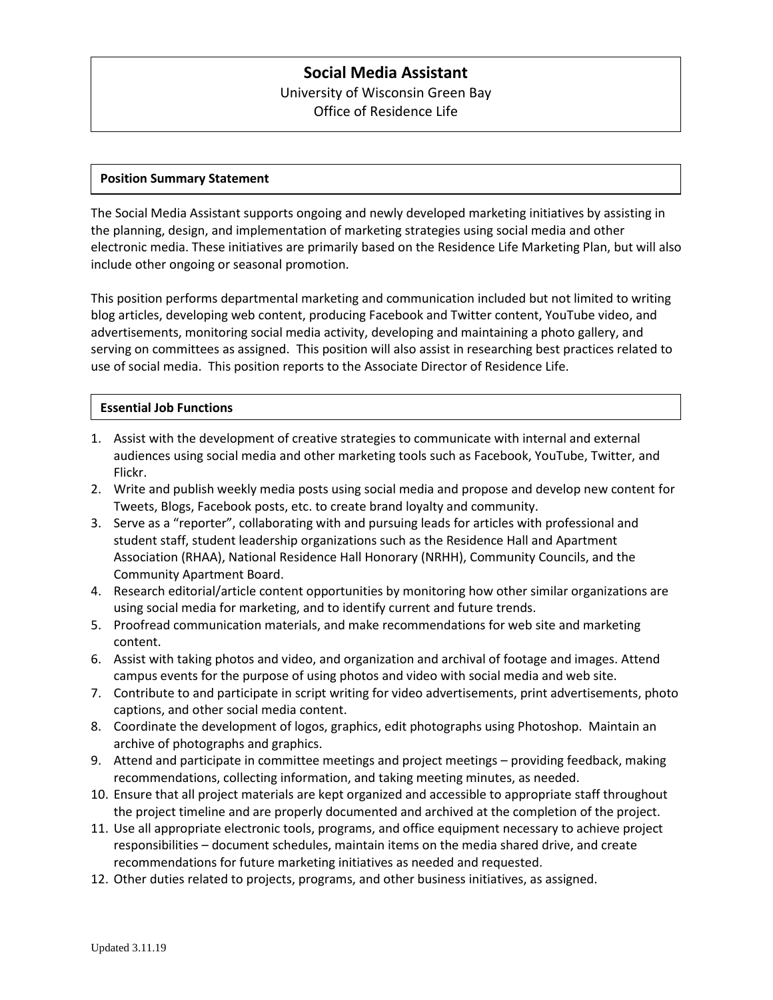# **Social Media Assistant** University of Wisconsin Green Bay

Office of Residence Life

### **Position Summary Statement**

The Social Media Assistant supports ongoing and newly developed marketing initiatives by assisting in the planning, design, and implementation of marketing strategies using social media and other electronic media. These initiatives are primarily based on the Residence Life Marketing Plan, but will also include other ongoing or seasonal promotion.

This position performs departmental marketing and communication included but not limited to writing blog articles, developing web content, producing Facebook and Twitter content, YouTube video, and advertisements, monitoring social media activity, developing and maintaining a photo gallery, and serving on committees as assigned. This position will also assist in researching best practices related to use of social media. This position reports to the Associate Director of Residence Life.

## **Essential Job Functions**

- 1. Assist with the development of creative strategies to communicate with internal and external audiences using social media and other marketing tools such as Facebook, YouTube, Twitter, and Flickr.
- 2. Write and publish weekly media posts using social media and propose and develop new content for Tweets, Blogs, Facebook posts, etc. to create brand loyalty and community.
- 3. Serve as a "reporter", collaborating with and pursuing leads for articles with professional and student staff, student leadership organizations such as the Residence Hall and Apartment Association (RHAA), National Residence Hall Honorary (NRHH), Community Councils, and the Community Apartment Board.
- 4. Research editorial/article content opportunities by monitoring how other similar organizations are using social media for marketing, and to identify current and future trends.
- 5. Proofread communication materials, and make recommendations for web site and marketing content.
- 6. Assist with taking photos and video, and organization and archival of footage and images. Attend campus events for the purpose of using photos and video with social media and web site.
- 7. Contribute to and participate in script writing for video advertisements, print advertisements, photo captions, and other social media content.
- 8. Coordinate the development of logos, graphics, edit photographs using Photoshop. Maintain an archive of photographs and graphics.
- 9. Attend and participate in committee meetings and project meetings providing feedback, making recommendations, collecting information, and taking meeting minutes, as needed.
- 10. Ensure that all project materials are kept organized and accessible to appropriate staff throughout the project timeline and are properly documented and archived at the completion of the project.
- 11. Use all appropriate electronic tools, programs, and office equipment necessary to achieve project responsibilities – document schedules, maintain items on the media shared drive, and create recommendations for future marketing initiatives as needed and requested.
- 12. Other duties related to projects, programs, and other business initiatives, as assigned.